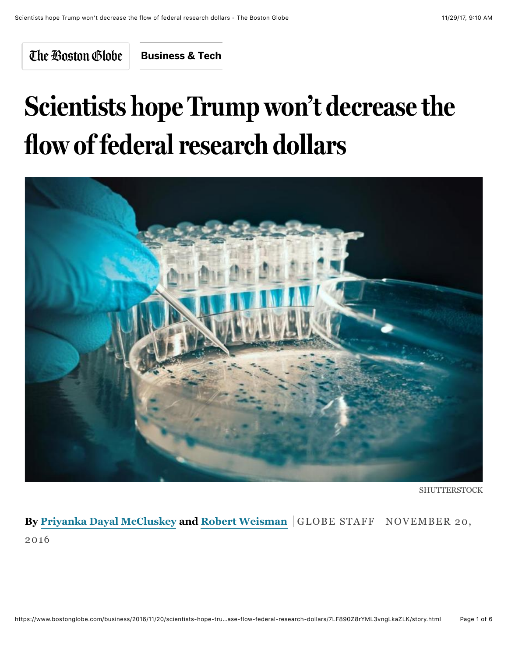The Boston Globe

**[Business & Tech](https://www.bostonglobe.com/business?p1=BGHeader_SectionLink)**

# **Scientists hope Trump won't decrease the flow of federal research dollars**



**SHUTTERSTOCK** 

**By [Priyanka Dayal McCluskey](https://www.bostonglobe.com/staff/mccluskey) and [Robert Weisman](https://www.bostonglobe.com/staff/weisman)** GLOBE STAFF NOVEMBER 20, 2016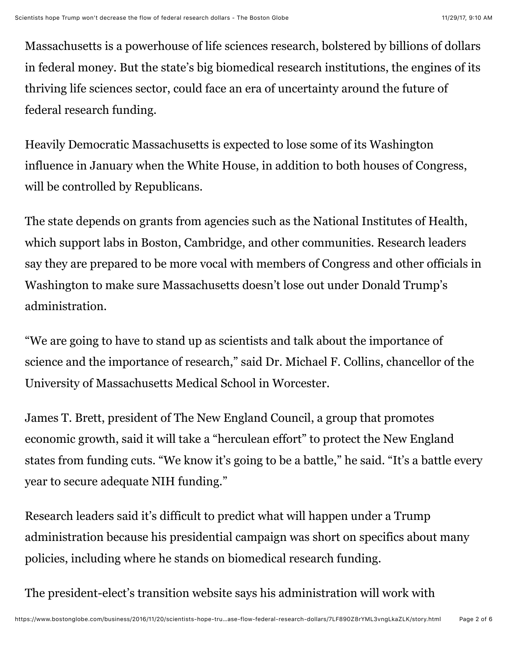Massachusetts is a powerhouse of life sciences research, bolstered by billions of dollars in federal money. But the state's big biomedical research institutions, the engines of its thriving life sciences sector, could face an era of uncertainty around the future of federal research funding.

Heavily Democratic Massachusetts is expected to lose some of its Washington influence in January when the White House, in addition to both houses of Congress, will be controlled by Republicans.

The state depends on grants from agencies such as the National Institutes of Health, which support labs in Boston, Cambridge, and other communities. Research leaders say they are prepared to be more vocal with members of Congress and other officials in Washington to make sure Massachusetts doesn't lose out under Donald Trump's administration.

"We are going to have to stand up as scientists and talk about the importance of science and the importance of research," said Dr. Michael F. Collins, chancellor of the University of Massachusetts Medical School in Worcester.

James T. Brett, president of The New England Council, a group that promotes economic growth, said it will take a "herculean effort" to protect the New England states from funding cuts. "We know it's going to be a battle," he said. "It's a battle every year to secure adequate NIH funding."

Research leaders said it's difficult to predict what will happen under a Trump administration because his presidential campaign was short on specifics about many policies, including where he stands on biomedical research funding.

The president-elect's transition website says his administration will work with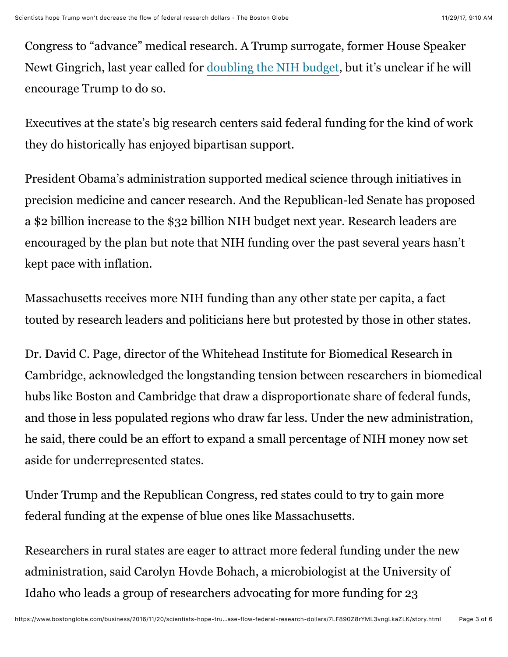Congress to "advance" medical research. A Trump surrogate, former House Speaker Newt Gingrich, last year called for [doubling the NIH budget,](http://www.nytimes.com/2015/04/22/opinion/double-the-nih-budget.html) but it's unclear if he will encourage Trump to do so.

Executives at the state's big research centers said federal funding for the kind of work they do historically has enjoyed bipartisan support.

President Obama's administration supported medical science through initiatives in precision medicine and cancer research. And the Republican-led Senate has proposed a \$2 billion increase to the \$32 billion NIH budget next year. Research leaders are encouraged by the plan but note that NIH funding over the past several years hasn't kept pace with inflation.

Massachusetts receives more NIH funding than any other state per capita, a fact touted by research leaders and politicians here but protested by those in other states.

Dr. David C. Page, director of the Whitehead Institute for Biomedical Research in Cambridge, acknowledged the longstanding tension between researchers in biomedical hubs like Boston and Cambridge that draw a disproportionate share of federal funds, and those in less populated regions who draw far less. Under the new administration, he said, there could be an effort to expand a small percentage of NIH money now set aside for underrepresented states.

Under Trump and the Republican Congress, red states could to try to gain more federal funding at the expense of blue ones like Massachusetts.

Researchers in rural states are eager to attract more federal funding under the new administration, said Carolyn Hovde Bohach, a microbiologist at the University of Idaho who leads a group of researchers advocating for more funding for 23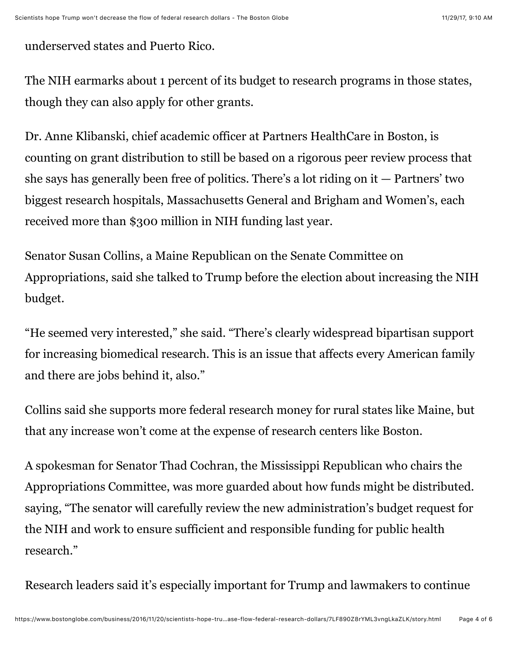underserved states and Puerto Rico.

The NIH earmarks about 1 percent of its budget to research programs in those states, though they can also apply for other grants.

Dr. Anne Klibanski, chief academic officer at Partners HealthCare in Boston, is counting on grant distribution to still be based on a rigorous peer review process that she says has generally been free of politics. There's a lot riding on  $it$   $-$  Partners' two biggest research hospitals, Massachusetts General and Brigham and Women's, each received more than \$300 million in NIH funding last year.

Senator Susan Collins, a Maine Republican on the Senate Committee on Appropriations, said she talked to Trump before the election about increasing the NIH budget.

"He seemed very interested," she said. "There's clearly widespread bipartisan support for increasing biomedical research. This is an issue that affects every American family and there are jobs behind it, also."

Collins said she supports more federal research money for rural states like Maine, but that any increase won't come at the expense of research centers like Boston.

A spokesman for Senator Thad Cochran, the Mississippi Republican who chairs the Appropriations Committee, was more guarded about how funds might be distributed. saying, "The senator will carefully review the new administration's budget request for the NIH and work to ensure sufficient and responsible funding for public health research."

Research leaders said it's especially important for Trump and lawmakers to continue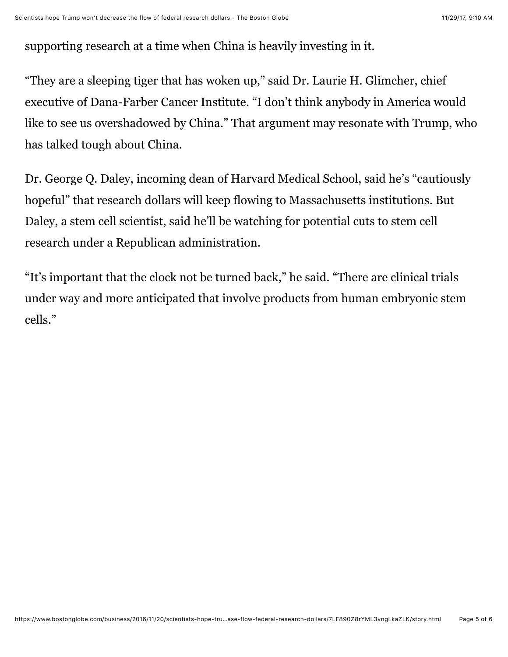supporting research at a time when China is heavily investing in it.

"They are a sleeping tiger that has woken up," said Dr. Laurie H. Glimcher, chief executive of Dana-Farber Cancer Institute. "I don't think anybody in America would like to see us overshadowed by China." That argument may resonate with Trump, who has talked tough about China.

Dr. George Q. Daley, incoming dean of Harvard Medical School, said he's "cautiously hopeful" that research dollars will keep flowing to Massachusetts institutions. But Daley, a stem cell scientist, said he'll be watching for potential cuts to stem cell research under a Republican administration.

"It's important that the clock not be turned back," he said. "There are clinical trials under way and more anticipated that involve products from human embryonic stem cells."